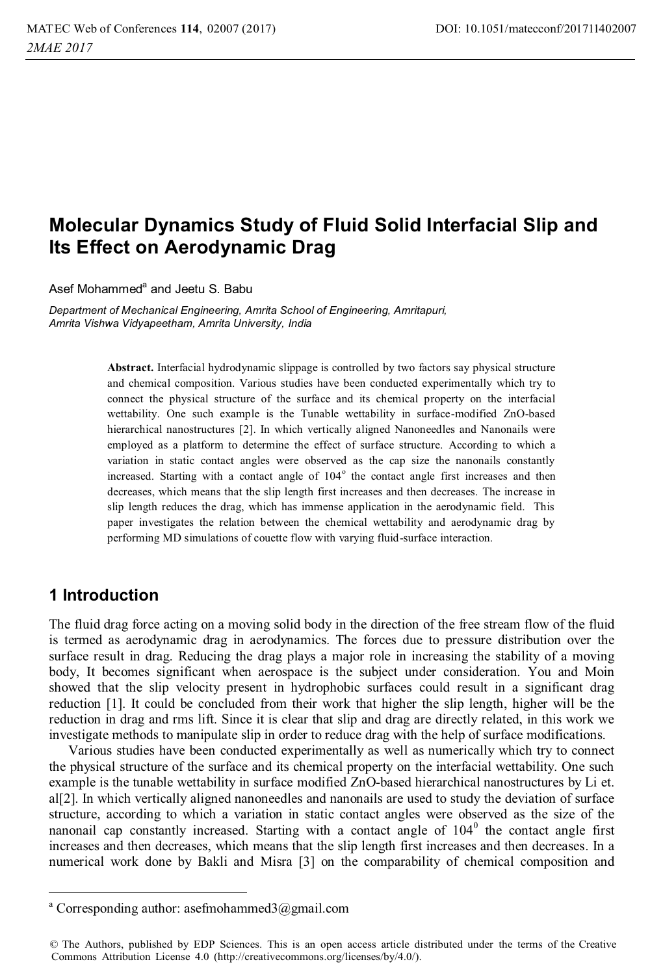# **Molecular Dynamics Study of Fluid Solid Interfacial Slip and Its Effect on Aerodynamic Drag**

Asef Mohammed<sup>a</sup> and Jeetu S. Babu

*Department of Mechanical Engineering, Amrita School of Engineering, Amritapuri, Amrita Vishwa Vidyapeetham, Amrita University, India* 

> **Abstract.** Interfacial hydrodynamic slippage is controlled by two factors say physical structure and chemical composition. Various studies have been conducted experimentally which try to connect the physical structure of the surface and its chemical property on the interfacial wettability. One such example is the Tunable wettability in surface-modified ZnO-based hierarchical nanostructures [2]. In which vertically aligned Nanoneedles and Nanonails were employed as a platform to determine the effect of surface structure. According to which a variation in static contact angles were observed as the cap size the nanonails constantly increased. Starting with a contact angle of 104° the contact angle first increases and then decreases, which means that the slip length first increases and then decreases. The increase in slip length reduces the drag, which has immense application in the aerodynamic field. This paper investigates the relation between the chemical wettability and aerodynamic drag by performing MD simulations of couette flow with varying fluid-surface interaction.

### **1 Introduction**

 $\overline{a}$ 

The fluid drag force acting on a moving solid body in the direction of the free stream flow of the fluid is termed as aerodynamic drag in aerodynamics. The forces due to pressure distribution over the surface result in drag. Reducing the drag plays a major role in increasing the stability of a moving body, It becomes significant when aerospace is the subject under consideration. You and Moin showed that the slip velocity present in hydrophobic surfaces could result in a significant drag reduction [1]. It could be concluded from their work that higher the slip length, higher will be the reduction in drag and rms lift. Since it is clear that slip and drag are directly related, in this work we investigate methods to manipulate slip in order to reduce drag with the help of surface modifications.

Various studies have been conducted experimentally as well as numerically which try to connect the physical structure of the surface and its chemical property on the interfacial wettability. One such example is the tunable wettability in surface modified ZnO-based hierarchical nanostructures by Li et. al[2]. In which vertically aligned nanoneedles and nanonails are used to study the deviation of surface structure, according to which a variation in static contact angles were observed as the size of the nanonail cap constantly increased. Starting with a contact angle of  $104<sup>0</sup>$  the contact angle first increases and then decreases, which means that the slip length first increases and then decreases. In a numerical work done by Bakli and Misra [3] on the comparability of chemical composition and

a Corresponding author: asefmohammed3@gmail.com

<sup>©</sup> The Authors, published by EDP Sciences. This is an open access article distributed under the terms of the Creative Commons Attribution License 4.0 (http://creativecommons.org/licenses/by/4.0/).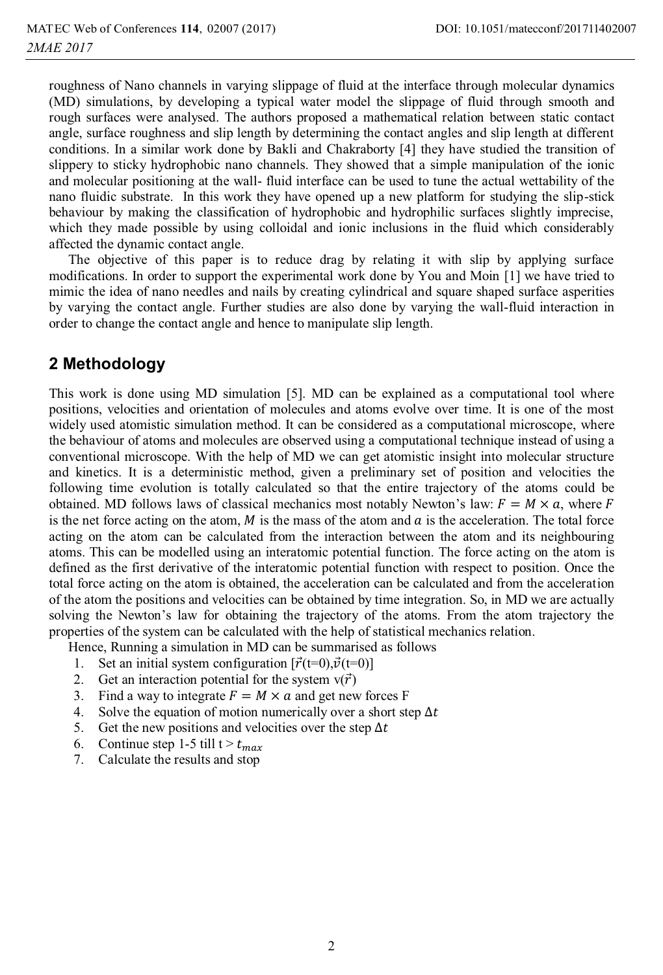roughness of Nano channels in varying slippage of fluid at the interface through molecular dynamics (MD) simulations, by developing a typical water model the slippage of fluid through smooth and rough surfaces were analysed. The authors proposed a mathematical relation between static contact angle, surface roughness and slip length by determining the contact angles and slip length at different conditions. In a similar work done by Bakli and Chakraborty [4] they have studied the transition of slippery to sticky hydrophobic nano channels. They showed that a simple manipulation of the ionic and molecular positioning at the wall- fluid interface can be used to tune the actual wettability of the nano fluidic substrate. In this work they have opened up a new platform for studying the slip-stick behaviour by making the classification of hydrophobic and hydrophilic surfaces slightly imprecise, which they made possible by using colloidal and ionic inclusions in the fluid which considerably affected the dynamic contact angle.

The objective of this paper is to reduce drag by relating it with slip by applying surface modifications. In order to support the experimental work done by You and Moin [1] we have tried to mimic the idea of nano needles and nails by creating cylindrical and square shaped surface asperities by varying the contact angle. Further studies are also done by varying the wall-fluid interaction in order to change the contact angle and hence to manipulate slip length.

# **2 Methodology**

This work is done using MD simulation [5]. MD can be explained as a computational tool where positions, velocities and orientation of molecules and atoms evolve over time. It is one of the most widely used atomistic simulation method. It can be considered as a computational microscope, where the behaviour of atoms and molecules are observed using a computational technique instead of using a conventional microscope. With the help of MD we can get atomistic insight into molecular structure and kinetics. It is a deterministic method, given a preliminary set of position and velocities the following time evolution is totally calculated so that the entire trajectory of the atoms could be obtained. MD follows laws of classical mechanics most notably Newton's law:  $F = M \times a$ , where F is the net force acting on the atom M is the mass of the atom and a is the acceleration. The total force is the net force acting on the atom,  $M$  is the mass of the atom and  $a$  is the acceleration. The total force acting on the atom can be calculated from the interaction between the atom and its neighbouring atoms. This can be modelled using an interatomic potential function. The force acting on the atom is defined as the first derivative of the interatomic potential function with respect to position. Once the total force acting on the atom is obtained, the acceleration can be calculated and from the acceleration of the atom the positions and velocities can be obtained by time integration. So, in MD we are actually properties of the system can be calculated with the help of statistical mechanics relation.

Hence, Running a simulation in MD can be summarised as follows

- 1. Set an initial system configuration  $[\vec{r}(t=0), \vec{v}(t=0)]$
- 2. Get an interaction potential for the system  $v(\vec{r})$
- 3. Find a way to integrate  $F = M \times a$  and get new forces F
- 4. Solve the equation of motion numerically over a short step  $\Delta t$
- 5. Get the new positions and velocities over the step  $\Delta t$
- 6. Continue step 1-5 till t >  $t_{max}$
- 7. Calculate the results and stop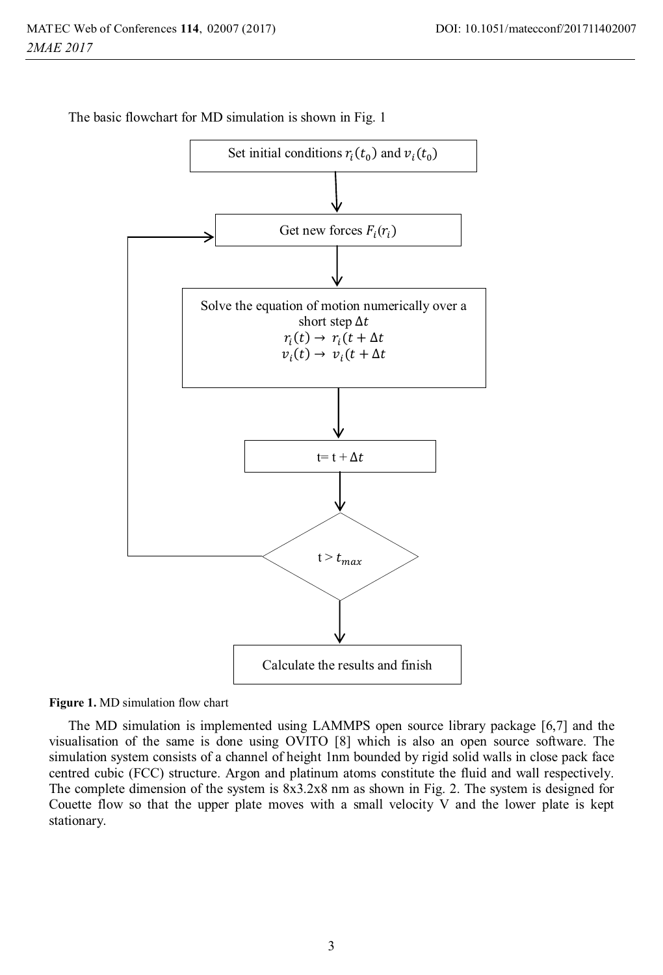

The basic flowchart for MD simulation is shown in Fig. 1



The MD simulation is implemented using LAMMPS open source library package [6,7] and the visualisation of the same is done using OVITO [8] which is also an open source software. The simulation system consists of a channel of height 1nm bounded by rigid solid walls in close pack face centred cubic (FCC) structure. Argon and platinum atoms constitute the fluid and wall respectively. The complete dimension of the system is 8x3.2x8 nm as shown in Fig. 2. The system is designed for Couette flow so that the upper plate moves with a small velocity V and the lower plate is kept stationary.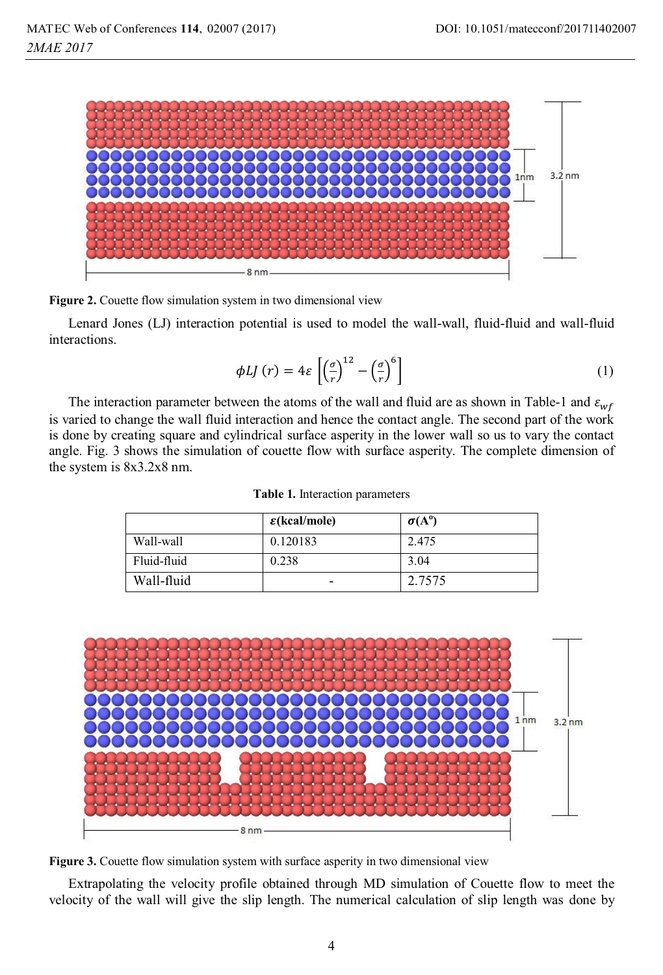



Lenard Jones (LJ) interaction potential is used to model the wall-wall, fluid-fluid and wall-fluid interactions.

$$
\phi LJ(r) = 4\varepsilon \left[ \left( \frac{\sigma}{r} \right)^{12} - \left( \frac{\sigma}{r} \right)^{6} \right]
$$
\n(1)

The interaction parameter between the atoms of the wall and fluid are as shown in Table-1 and  $\varepsilon_{wf}$ is varied to change the wall fluid interaction and hence the contact angle. The second part of the work is done by creating square and cylindrical surface asperity in the lower wall so us to vary the contact angle. Fig. 3 shows the simulation of couette flow with surface asperity. The complete dimension of the system is 8x3.2x8 nm.

**Table 1.** Interaction parameters

|             | $\varepsilon$ (kcal/mole) | $\sigma(A^{\circ})$ |
|-------------|---------------------------|---------------------|
| Wall-wall   | 0.120183                  | 2.475               |
| Fluid-fluid | 0.238                     | 3.04                |
| Wall-fluid  |                           | 2.7575              |



**Figure 3.** Couette flow simulation system with surface asperity in two dimensional view

Extrapolating the velocity profile obtained through MD simulation of Couette flow to meet the velocity of the wall will give the slip length. The numerical calculation of slip length was done by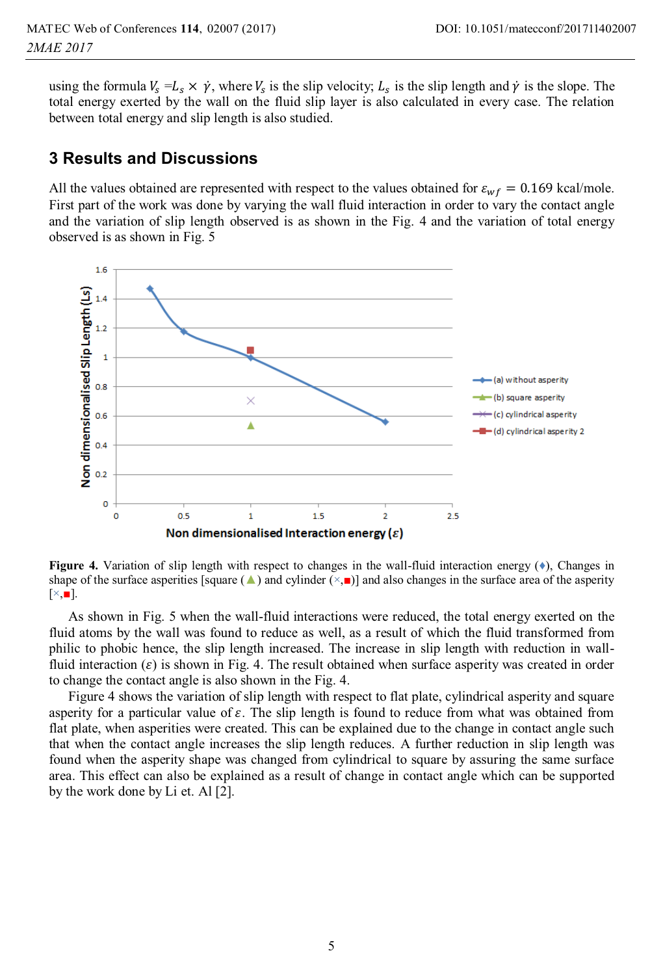using the formula  $V_s = L_s \times \dot{\gamma}$ , where  $V_s$  is the slip velocity;  $L_s$  is the slip length and  $\dot{\gamma}$  is the slope. The total energy exerted by the wall on the fluid slip layer is also calculated in every case. The relation between total energy and slip length is also studied.

# **3 Results and Discussions**

All the values obtained are represented with respect to the values obtained for  $\varepsilon_{wf} = 0.169$  kcal/mole. First part of the work was done by varying the wall fluid interaction in order to vary the contact angle and the variation of slip length observed is as shown in the Fig. 4 and the variation of total energy observed is as shown in Fig. 5



**Figure 4.** Variation of slip length with respect to changes in the wall-fluid interaction energy ( $\bullet$ ), Changes in shape of the surface asperities [square ( $\blacktriangle$ ) and cylinder ( $\times$ ,  $\blacktriangleright$ )] and also changes in the surface area of the asperity  $[\times, \blacksquare]$ .

As shown in Fig. 5 when the wall-fluid interactions were reduced, the total energy exerted on the fluid atoms by the wall was found to reduce as well, as a result of which the fluid transformed from philic to phobic hence, the slip length increased. The increase in slip length with reduction in wallfluid interaction  $(\varepsilon)$  is shown in Fig. 4. The result obtained when surface asperity was created in order to change the contact angle is also shown in the Fig. 4.

Figure 4 shows the variation of slip length with respect to flat plate, cylindrical asperity and square asperity for a particular value of  $\varepsilon$ . The slip length is found to reduce from what was obtained from flat plate, when asperities were created. This can be explained due to the change in contact angle such that when the contact angle increases the slip length reduces. A further reduction in slip length was found when the asperity shape was changed from cylindrical to square by assuring the same surface area. This effect can also be explained as a result of change in contact angle which can be supported by the work done by Li et. Al [2].